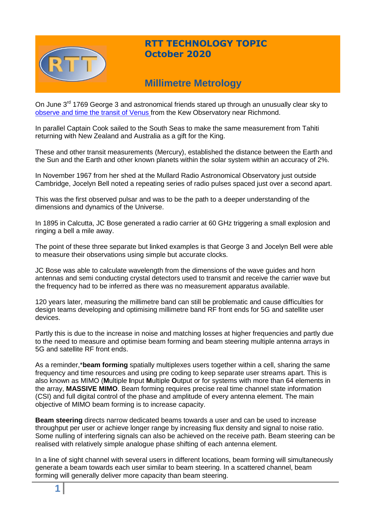

## **RTT TECHNOLOGY TOPIC October 2020**

# **Millimetre Metrology**

On June 3<sup>rd</sup> 1769 George 3 and astronomical friends stared up through an unusually clear sky to [observe and time the transit of Venus](https://profmattstrassler.com/articles-and-posts/relativity-space-astronomy-and-cosmology/transit-of-venus-and-the-distance-to-the-sun/) from the Kew Observatory near Richmond.

In parallel Captain Cook sailed to the South Seas to make the same measurement from Tahiti returning with New Zealand and Australia as a gift for the King.

These and other transit measurements (Mercury), established the distance between the Earth and the Sun and the Earth and other known planets within the solar system within an accuracy of 2%.

In November 1967 from her shed at the Mullard Radio Astronomical Observatory just outside Cambridge, Jocelyn Bell noted a repeating series of radio pulses spaced just over a second apart.

This was the first observed pulsar and was to be the path to a deeper understanding of the dimensions and dynamics of the Universe.

In 1895 in Calcutta, JC Bose generated a radio carrier at 60 GHz triggering a small explosion and ringing a bell a mile away.

The point of these three separate but linked examples is that George 3 and Jocelyn Bell were able to measure their observations using simple but accurate clocks.

JC Bose was able to calculate wavelength from the dimensions of the wave guides and horn antennas and semi conducting crystal detectors used to transmit and receive the carrier wave but the frequency had to be inferred as there was no measurement apparatus available.

120 years later, measuring the millimetre band can still be problematic and cause difficulties for design teams developing and optimising millimetre band RF front ends for 5G and satellite user devices.

Partly this is due to the increase in noise and matching losses at higher frequencies and partly due to the need to measure and optimise beam forming and beam steering multiple antenna arrays in 5G and satellite RF front ends.

As a reminder,\***beam forming** spatially multiplexes users together within a cell, sharing the same frequency and time resources and using pre coding to keep separate user streams apart. This is also known as MIMO (**M**ultiple **I**nput **M**ultiple **O**utput or for systems with more than 64 elements in the array, **MASSIVE MIMO**. Beam forming requires precise real time channel state information (CSI) and full digital control of the phase and amplitude of every antenna element. The main objective of MIMO beam forming is to increase capacity.

**Beam steering** directs narrow dedicated beams towards a user and can be used to increase throughput per user or achieve longer range by increasing flux density and signal to noise ratio. Some nulling of interfering signals can also be achieved on the receive path. Beam steering can be realised with relatively simple analogue phase shifting of each antenna element.

In a line of sight channel with several users in different locations, beam forming will simultaneously generate a beam towards each user similar to beam steering. In a scattered channel, beam forming will generally deliver more capacity than beam steering.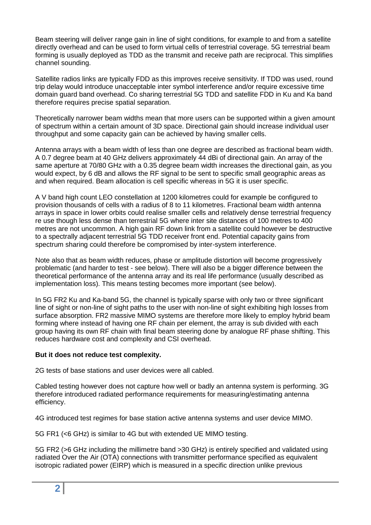Beam steering will deliver range gain in line of sight conditions, for example to and from a satellite directly overhead and can be used to form virtual cells of terrestrial coverage. 5G terrestrial beam forming is usually deployed as TDD as the transmit and receive path are reciprocal. This simplifies channel sounding.

Satellite radios links are typically FDD as this improves receive sensitivity. If TDD was used, round trip delay would introduce unacceptable inter symbol interference and/or require excessive time domain guard band overhead. Co sharing terrestrial 5G TDD and satellite FDD in Ku and Ka band therefore requires precise spatial separation.

Theoretically narrower beam widths mean that more users can be supported within a given amount of spectrum within a certain amount of 3D space. Directional gain should increase individual user throughput and some capacity gain can be achieved by having smaller cells.

Antenna arrays with a beam width of less than one degree are described as fractional beam width. A 0.7 degree beam at 40 GHz delivers approximately 44 dBi of directional gain. An array of the same aperture at 70/80 GHz with a 0.35 degree beam width increases the directional gain, as you would expect, by 6 dB and allows the RF signal to be sent to specific small geographic areas as and when required. Beam allocation is cell specific whereas in 5G it is user specific.

A V band high count LEO constellation at 1200 kilometres could for example be configured to provision thousands of cells with a radius of 8 to 11 kilometres. Fractional beam width antenna arrays in space in lower orbits could realise smaller cells and relatively dense terrestrial frequency re use though less dense than terrestrial 5G where inter site distances of 100 metres to 400 metres are not uncommon. A high gain RF down link from a satellite could however be destructive to a spectrally adjacent terrestrial 5G TDD receiver front end. Potential capacity gains from spectrum sharing could therefore be compromised by inter-system interference.

Note also that as beam width reduces, phase or amplitude distortion will become progressively problematic (and harder to test - see below). There will also be a bigger difference between the theoretical performance of the antenna array and its real life performance (usually described as implementation loss). This means testing becomes more important (see below).

In 5G FR2 Ku and Ka-band 5G, the channel is typically sparse with only two or three significant line of sight or non-line of sight paths to the user with non-line of sight exhibiting high losses from surface absorption. FR2 massive MIMO systems are therefore more likely to employ hybrid beam forming where instead of having one RF chain per element, the array is sub divided with each group having its own RF chain with final beam steering done by analogue RF phase shifting. This reduces hardware cost and complexity and CSI overhead.

## **But it does not reduce test complexity.**

2G tests of base stations and user devices were all cabled.

Cabled testing however does not capture how well or badly an antenna system is performing. 3G therefore introduced radiated performance requirements for measuring/estimating antenna efficiency.

4G introduced test regimes for base station active antenna systems and user device MIMO.

5G FR1 (<6 GHz) is similar to 4G but with extended UE MIMO testing.

5G FR2 (>6 GHz including the millimetre band >30 GHz) is entirely specified and validated using radiated Over the Air (OTA) connections with transmitter performance specified as equivalent isotropic radiated power (EIRP) which is measured in a specific direction unlike previous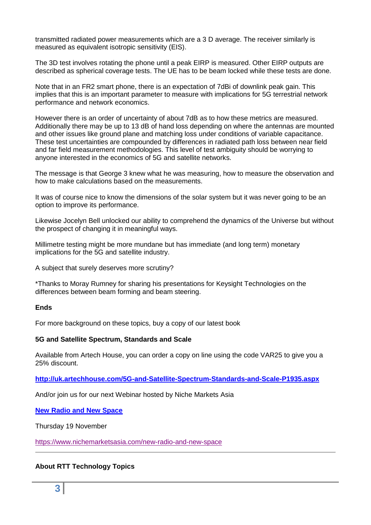transmitted radiated power measurements which are a 3 D average. The receiver similarly is measured as equivalent isotropic sensitivity (EIS).

The 3D test involves rotating the phone until a peak EIRP is measured. Other EIRP outputs are described as spherical coverage tests. The UE has to be beam locked while these tests are done.

Note that in an FR2 smart phone, there is an expectation of 7dBi of downlink peak gain. This implies that this is an important parameter to measure with implications for 5G terrestrial network performance and network economics.

However there is an order of uncertainty of about 7dB as to how these metrics are measured. Additionally there may be up to 13 dB of hand loss depending on where the antennas are mounted and other issues like ground plane and matching loss under conditions of variable capacitance. These test uncertainties are compounded by differences in radiated path loss between near field and far field measurement methodologies. This level of test ambiguity should be worrying to anyone interested in the economics of 5G and satellite networks.

The message is that George 3 knew what he was measuring, how to measure the observation and how to make calculations based on the measurements.

It was of course nice to know the dimensions of the solar system but it was never going to be an option to improve its performance.

Likewise Jocelyn Bell unlocked our ability to comprehend the dynamics of the Universe but without the prospect of changing it in meaningful ways.

Millimetre testing might be more mundane but has immediate (and long term) monetary implications for the 5G and satellite industry.

A subject that surely deserves more scrutiny?

\*Thanks to Moray Rumney for sharing his presentations for Keysight Technologies on the differences between beam forming and beam steering.

#### **Ends**

For more background on these topics, buy a copy of our latest book

#### **5G and Satellite Spectrum, Standards and Scale**

Available from Artech House, you can order a copy on line using the code VAR25 to give you a 25% discount.

**<http://uk.artechhouse.com/5G-and-Satellite-Spectrum-Standards-and-Scale-P1935.aspx>**

And/or join us for our next Webinar hosted by Niche Markets Asia

## **[New Radio and New Space](https://www.nichemarketsasia.com/new-radio-and-new-space)**

Thursday 19 November

<https://www.nichemarketsasia.com/new-radio-and-new-space>

#### **About RTT Technology Topics**